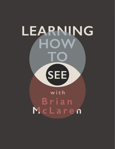## LEARNING HOW **SEE** with Brian McLaren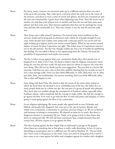- Brian: For many, many centuries, our ancestors woke up in a different universe than you and I woke up in this morning. They woke up in a universe where the earth was in the center of the universe, and above us were a series of crystal and spheres, the first one contained air and the next one contained fire. I guess that's where lightning came from. Then the moon was in another one and then a few planets were in another and then the sun and then some more planets and then some stars. That universe explained what they saw by and large for a long time and they felt comfortable in it. They were certain, it was the way the universe really was.
- Brian: Then along came a fella named Copernicus. He noticed some minor problems in that universe model and he proposed an alternative and a whole lot of people thought he was crazy. Some decades later Galileo came along with a telescope and he was on his roof one night looking up at Jupiter and he saw moons around Jupiter. When he saw moons around Jupiter, of course he knew Copernicus was right. This makes sense in Copernicus's universe, not in the old universe. The fact was, though, Galileo got into a lot of trouble for publishing that finding. He was called to Rome to face questioning from the Vatican. He faced the possibility of imprisonment and maybe even torture.
- Brian: The fact is when you go against what your community thinks, they often punish you. It happened to St. John of the Cross. He dared to believe that his religious community wasn't doing the very best job they could. He had some ideas for reform to improve the work they were doing. They did not say thank you for your suggestions. They put him in a latrine-like structure, took him out once a day to beat him, publicly shaming him for months on end. It was a clear message really. Don't you dare think differently, St. John. Back then, not St. John, just John. John, you troublemaker. For anyone watching, don't you think differently either. This is what will happen to you.
- Brian: Same thing with Rosa Parks. She dared to defy the norms of the entire white culture in which she lived when she decided to sit in a forbidden part of the bus. She didn't do it as many people think just as a whim one day. She was part of a group of people who planned. They knew that you couldn't change the assumptions of Southern culture, especially white Southern culture, unless somebody had the courage to make visible. She had the courage to go against the flow. If we want to go with the flow of truth and justice and integrity, it's often going to mean going against the flow of our community.
- Brian: In my religious upbringing, like many people who agreed with us were Orthodox and biblical, and people who disagreed, they were put in the cap of enemies, liberals, and maybe even communists. Community is a precious, precious thing to us. We are so blessed and fortunate to belong to communities. We depend on them for so much. But there's a dangerous element to community life too. Today, we're going to look at three biases that thrive in community life. We will call them community bias, complementarity bias and contact bias. All three require us to go against the flow.
- Brian: This idea of going against the flow might help us understand a passage in the gospels where Jesus says something that at first glance is really, really disturbing. In fact, it's just as disturbing at second glance just in a different way. He said in Matthew 10, "Do not think that I have come to bring peace to the earth. I have not come to bring peace but a sword. I have come to set a man against his father and a daughter against her mother and a daughter-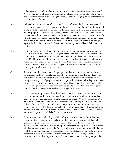in-law against her mother-in-law and one's foes will be members of one's own household." Now, if Jesus here is advocating literal domestic violence, then we would be right to think he's gone off his rocker. But he's using this strong, disturbing language to tell us that there's a powerful flow in families.

- Brian: In his culture, it was the flow of patriarchy, the head of the family, the dominant male tells his wife what to do and tells his son what to do, and that includes the daughter-in-law too. It creates a whole pyramid of submission to a dominant authority figure. Jesus is coming along and he's proposing a different way of seeing life and a different way of seeing relationships. He knows that by and large the older generation won't accept it. So Jesus as a young man, 30 when he begins his ministry and his disciples in all likelihood were about his age or younger, he's telling them, "Listen, if you're going to follow what I say, you're going to have to go against the flow of our society, the flow of our community, and you'll even feel it and your family."
- Brian: Daring to break with that flow, daring to break with the assumptions of our community, Copernicus and Galileo had to do it. St. John of the Cross had to do it. Rosa Parks had to do it. You and I may have to do it as well. It's enough to humble us and make us want to pray. We did not see everything so we do not know everything. We do not even know how much we do not know, nor do we know how much of what we know is actually impartial, distorted, or false. That is why we seek to open our eyes to encounter the world afresh in humility and in silent wonder to learn to see.
- Gigi: Today, we have three biases that we've grouped together because they all have to do with going against the flow of popular opinion. They are community bias. It is very hard to see something your group doesn't want you to see. This is a form of social confirmation bias. Complementarity bias, if people are nice to you, you will be open to what they see and have to say. If they aren't nice to you, you won't be open. Contact bias, if you lack contact with someone or a group, you won't see what they see. So let's open up for discussion to get us started. How do you see these three biases as being interrelated?
- Brian: Gigi, the relationship between these three it seems to me has to do with our position as a part of a community. The people who are in my community, we're all nice to each other and so we all keep reinforcing one another's confirmation bias. We all get each other. We'll agree already. Then somebody from the outside comes in and they might tell me something different. Because they're not familiar, then complementarity bias can sort of trip in my brain. I think they look different. They talk different. They act different. They have different culture. They come from a different background. The are not one of us. They don't use the words we always use. I don't feel safe around this person.
- Brian: So we become close to what they say. We don't give them a fair chance. But if they come in and they flatter us and they tell us how nice they think we are and we feel they really genuinely respect us, suddenly we become open to their ideas. So there's this sort of emotional gate or emotional filter we put up for how we feel about people. Then the people who just we aren't around, maybe they're the people that our group has excluded in the past. We believe anything that our group says about those people because we don't have contact with them. We never even get to encounter them to find out if they might persuade us of their own truth. So obviously, this is at the heart of racial prejudice and religious prejudice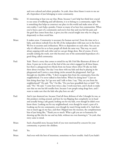and even cultural and ethnic prejudice. So yeah, these three biases it seem to me are all a byproduct of just belonging to some community.

- Mike: It's interesting to hear you say that, Brian, because I can't help but think how crucial to our sense of wellbeing and self-identity, it is to belong to a community, right? This is something that helps us construct our place in this world and make sense of our own reality. I can't help a ponder, I know so many of us have lost communities. When you've been a part of a community and you've lost that and you feel the pain and the grief that comes from that, it gives you this crucial insight into why we cling so desperately to these social bias.
- Brian: It makes sense. Community is necessary for human survival. From the time we're a baby, and almost nobody lives the life of the independent wild man out in the forest. We live in societies and civilizations. We're so dependent on each other. You can see why it's efficient for us to have people all think the same way. That way, we aren't always arguing with each other and we can get things done. But of course, if we're actually seeking the truth, now this becomes one of the unintended byproducts of a good thing called community.
- Paul: Yeah. There's a story that comes to mind for my life I feel like illustrates all three of these. It puts me in the seat of the fool of the one who's engaged in all these biases, but there's a playground two blocks from my house where often I'll take my kids there about everyday. One day I was there with my kids and they're playing in the playground and I notice a man doing circles around the playground. And I go through my checklist of like, "I don't recognize him from the community, from the neighborhood. I've never talked to him before. What's he doing here?" I just see him doing these laps. So I go over and I talk to him. I say, "Hey, are you from the neighborhood?" He said, "No." I'm like, "Do you have grandkids here or kids?" He said, "No." He said, "I come here twice a day. I work near here, and I check to make sure that no one has left needles here, because I saw people using drugs here, and I want to make sure that the kids who play here are safe."
- Paul: And it just shattered me, because I had all these defenses of who I thought he was, as this predator circling around, and here he was flipping that completely on its head and actually being a safe guard, looking out for my kids, even though he didn't even know them. Looking out for my neighborhood, even though he wasn't a part of it. Looking out for my community, even though he wasn't living inside of it. And there was so much egg on my face, and then I flipped into the niceness, the complimentary bias of just being like, "Thank you so much. What a gift you are to humanity for showing up like this for me and my kids, without me even knowing it." So yeah, that story came to mind.
- Brian: Such a beautiful story, because both of you were motivated by concern for your community, to protect the children.

Paul: Yes.

Brian: And even with the best of intentions, sometimes we have trouble. And if you hadn't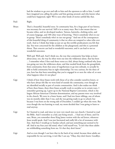had the wisdom to go over and talk to him and the openness to talk to him, I could have imagined you calling the police and him getting arrested, and who knows what could have happened, right? We've seen other kinds of stories unfold like that.

Paul: Right.

- Brian: That's a beautiful, beautiful story. So community bias, for a huge part of our history, was necessary for our survival. Still is in so many ways. But it also meant that we became tribes, and we developed markers. Tattoos, hairstyles, clothing styles, and of course language, and 100 other ways of knowing, "Here's somebody who's in our in-group. There's somebody who's in our out-group." And one of the consequences of this beautiful thing of community is that we often are tempted to value tribe over truth. And so I think that helps us just set up this terrible predicament you felt that day. You were concerned for the children at the playground, and this is a potential threat. That concern can lead to wonderful outcomes, and it can lead to not so wonderful outcomes.
- Paul: Well said. Well said. And I think too, the way that community bias helps us learn about Jesus, too, the way he often went out into the wilderness alone, that has been ... I remember when I first read those verses as a kid, always being confused why Jesus was going out into the wilderness alone, and that needed break from the groupthink, from community, from that sense of togetherness to go into solitude, to actually be able to hold community bias in right relationship. I'm very curious, for the three of you, how has that been something that you've engaged in or seen the value of, or seen what happens when it's not place?
- Gigi: I think of how these biases work with those of us who consider ourselves loners, or who have always felt like we were kind of outside the community, even though we are identified socially as part of certain communities. And it also makes me think of how these biases, these three biases actually work to socialize us in certain ways. I remember growing up, I grew up in the National Baptist Convention, which is the largest African-American Christian denomination, and my parents were very involved in the church. We were in a foster home, and I had two foster siblings, one of whom was six months older than I was, and she was getting ready to go to school, but because I was born on the wrong side of December, I couldn't go when she went. But even though she was learning to read, my mom decided that I was going to learn to read anyway.
- Gigi: So I learned to read, and since we were very much into our church, I learned to read the Bible. And I remember as a kid, just being struck ... I had one of those, and I'm sure, Brian, you remember those King James version with the red letters, whenever Jesus would speak. And I was just fascinated and really felt a lot of resonance with that. And then I would go to Sunday school, and just something just seemed to be off. And in my four year old mind, what I told myself was, "It isn't that these adults are withholding something from me. It's that they don't know."
- Gigi: And so even though I can have that in the back of my mind, because these adults are responsible for me surviving, it isn't like I can say, "Okay, they don't know. Goodbye.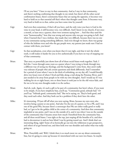I'll see you later." I have to stay in that community. And as I stay in that community, and there's nothing confirming that thought in my mind, but there's all the other social confirmation biases, there's community biases that are saying the opposite, it becomes very hard to hold on to that essential self that's where that thought came from. It becomes very, very hard to hold on to that, unless you have some time by yourself.

- Gigi: And even then sometimes, if that's all you have, and the only voice you have is God in the voice in your head, it still becomes very, very difficult. And I know in my church, if not once a month, at least once a quarter, there were sermons saying how ... And that they used the term "homosexuality," how that was wrong and anyone who was gay was going to hell. And when I learned that I was a lesbian, that made that very difficult, because there was no one in my community saying something different. And even though we knew, there was gossip of who the lesbians were and who the gay people were, my parents just made sure I had no contact with them, you know?
- Gigi: So that socialization, even when you know that it's not right, and that it isn't the whole truth, it still makes it harder for you to live authentically if you have no way of stepping out of that community.
- Brian: That story so powerfully just shows how all of those social biases work together. Yeah. I feel this. I went through some years as a pastor where I was trying to break through into a different way of seeing my theology, and the background I come from, they aren't really very tolerant of people who ask certain questions and think differently. And I remember for a period of years where I was in the thick of rethinking, on my day off, I would literally drive two hours west of where I lived and hike along a trail along the Potomac River, and I just needed to be away from people to be with my own thoughts. And I would say if I was walking for six or eight hours, two or three hours it took just to let the old voices fade, and for me to let my own thoughts make it to the surface.
- Brian: And oh, yeah. Again, it's such a gift to be part of a community, but here's where, if you want to be simple, if you have simplicity bias, you'll say, "Community good, solitude bad." Or you'll say "Solitude good, community bad." But we're saying, no. They're both good, and they need each other. And they both can be a problem if they don't have the other.
- Mike: It's interesting. I'll just riff off what you were saying, Brian, because my own story also involves being a pastor at one point. And also I'm the son of a pastor, so I'm a PK, and I was one of the good PKs, because there's a stereotype that PKs are either really good or really bad, so I got to be the golden child at the center of a community. And then that community imploded at one point, and I was on the outside of it, and it was when I was on the outside of the community that I became aware how much I benefited from the community bias, and all these social biases. I was right at the top, just reaping all the benefits of it, and then had to deconstruct it and see how blind I was by getting tossed out. And I think that's an interesting thing, right? Some of us heroically go out into the wilderness to get perspective, and others of us get booted out, and then look over our shoulder and realize what was really going on.
- Brian: Wow. Powerfully said. Well, I think there is so much more we can say about community bias, but it's going to come up because it's interrelated with our next two biases. So maybe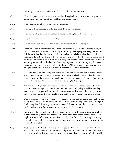|        | this is a good time for us to just learn that prayer for community bias.                                                                                                                                                                                                                                                                                                                                                                                                                                                                                                                                                                                                                                                                                               |
|--------|------------------------------------------------------------------------------------------------------------------------------------------------------------------------------------------------------------------------------------------------------------------------------------------------------------------------------------------------------------------------------------------------------------------------------------------------------------------------------------------------------------------------------------------------------------------------------------------------------------------------------------------------------------------------------------------------------------------------------------------------------------------------|
| Gigi:  | Here's the prayer we will practice at the end of this episode when we're doing the prayer for<br>community bias. "Inspirer of holy boldness and humble bravery-                                                                                                                                                                                                                                                                                                                                                                                                                                                                                                                                                                                                        |
| Mike:  | give me the humility to learn from my community-                                                                                                                                                                                                                                                                                                                                                                                                                                                                                                                                                                                                                                                                                                                       |
| Paul:  | along with the courage to differ graciously from my community-                                                                                                                                                                                                                                                                                                                                                                                                                                                                                                                                                                                                                                                                                                         |
| Brian: | seeking truth even when my companions are unwilling to see it or accept it.                                                                                                                                                                                                                                                                                                                                                                                                                                                                                                                                                                                                                                                                                            |
| Gigi:  | Help me remain humbly loyal to the truth-                                                                                                                                                                                                                                                                                                                                                                                                                                                                                                                                                                                                                                                                                                                              |
| Mike:  | even when I am misjudged and rejected by my community for doing so."                                                                                                                                                                                                                                                                                                                                                                                                                                                                                                                                                                                                                                                                                                   |
| Brian: | Let's turn to complementarity bias. If people are nice to me, I tend to be nice to them, and<br>that includes then believing what they say. And if I experience people as being mean to me,<br>or if I don't think they like me, then I feel no obligation to believe what they say. It has<br>nothing to do with how truthful they are or the evidence for what they say. I'm biased based<br>on my feelings about them. I think we've already seen how this exists, but we can see how in<br>a sense, groups reinforce this because if one in-group makes another out-group their enemy,<br>then everyone approaches one another with hostility. Which means that, of course, we're<br>going to believe what our friends say and reject with those other people say. |
| Mike:  | It's interesting. Complimentary bias makes me think of how Jesus taught us to treat others.<br>Treat others as we would like to be treated, turn the other cheek, forgive rather than seek<br>revenge. It seems like he's trying to break us out of this complementarity cycle of eye for an<br>eye, tooth for tooth. Also, smile for smile and blessing for blessing.                                                                                                                                                                                                                                                                                                                                                                                                 |
| Brian: | This hits me, Mike, when I think about a couple of times where people have had a really<br>powerful breakthrough in my life. Sometimes that breakthrough happened because they<br>were really, really angry with me, and their anger was data that tempted me to reject what<br>they were going to say. But they couldn't help but be angry because I was hurting them.                                                                                                                                                                                                                                                                                                                                                                                                |
| Brian: | Oh my goodness, to be able to have people be angry at you and not take it personally, as the<br>saying goes, and react to the anger, but to say, "Well, of course they'd have strong feelings if<br>I'm hurting them." Their anger makes me, maybe I should listen to them even more. Now<br>that's not always true. Some people are angry when they're just nasty.                                                                                                                                                                                                                                                                                                                                                                                                    |
| Brian: | But to say, "Oh, I better be careful when people are angry with me or where they speak in<br>terms I don't really understand at first, and I don't know their jargon or their lingo. They<br>might be from a different community I could really learn from." So this complementarity<br>bias really does require us to start to reverse that, treat others as we would be treated, not as<br>we have been treated.                                                                                                                                                                                                                                                                                                                                                     |
| Gigi:  | That makes me think of two sort of similar episodes. One of them involves email. I think<br>email's always the easiest way to misunderstand people. So it about an incident and it was an<br>email and I read it thinking I was reading one thing and of course, that wasn't what it said.                                                                                                                                                                                                                                                                                                                                                                                                                                                                             |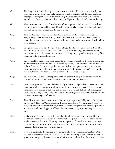| Gigi:  | The thing is, this is after having the contemplative practice. Where there was actually that<br>space in my mind where I can make a decision to either just stop and think, or just let my<br>anger go. I saw myself choose to let the anger go because it touched a really, really deep<br>wound in me from my childhood that I thought I'd got over, but I hadn't. So I just let it go.                                                                                   |
|--------|-----------------------------------------------------------------------------------------------------------------------------------------------------------------------------------------------------------------------------------------------------------------------------------------------------------------------------------------------------------------------------------------------------------------------------------------------------------------------------|
| Gigi:  | Then the response was, wow. Then because of that response, I had to reread the email and<br>realize that, oh, he was talking about himself. He wasn't talking about me. So we did have a<br>talk and we were able to reconcile. So that was one.                                                                                                                                                                                                                            |
| Gigi:  | Then the flip side of that is a very close friend of mine. We have phone conversations<br>every Sunday. There was something, apparently there's this pattern that I had fallen into in<br>responding to some of the things that she said, that it was totally unconscious. I had no idea<br>I was doing it.                                                                                                                                                                 |
| Gigi:  | So I get an email from her, the subject is in all caps. So I knew I was in trouble. I was like,<br>what did I do? I don't even know what I did. There was something, for whatever reason, I<br>had started to when she would bring some certain things up, respond in a negative way. Not<br>intending to be disrespectful to her.                                                                                                                                          |
| Gigi:  | But as I read her email, I saw, okay, she said this. I said, I can see how she took what she said.<br>So immediately, because she was a close friend, I just said, "I am so sorry. I can see how you<br>did this." For her, that was a huge deal because she had been going through a state where<br>there were people in her life who were really treating her in ways that weren't good and she<br>would call them on it. Then that would be the end of the relationship. |
| Gigi:  | So I was happy not to be in that pattern with her because I really value her as a friend. But I<br>just noticed those two different ways of responding and both to that, to email.                                                                                                                                                                                                                                                                                          |
| Paul:  | Email is the great bear that we all deal with, if you look on a regular basis. The example that<br>came to my mind involves my neighbor across the street who died recently. The first time<br>I met him, I was outside in our yard and he yells at me. He had that kind of curmudgeon<br>personality and he just said, "Hey, did you steal my garbage can?" Inside I'm like, who is this<br>man who is accusing me of thievery?                                            |
| Paul:  | Then I had a moment of expansion and I just asked the question, "Why would I steal your<br>garbage can?" He goes, "Good question." I went over and said, "Hey, my name's Paul." He<br>said, "My name's Ray." From then on, we were incredible neighbors and friends. I just think<br>about what could have happened if I would've responded with just responding in that same<br>way.                                                                                       |
| Paul:  | Unlike my previous story, I actually showed up in full presence, I think for that kind of<br>interaction. But it was such a lesson on what relationship can be if someone shows up with<br>kind of an energy that is so off-putting or curmudgeonly. If I am able to show up in my own<br>body and my own presence with even a spark of love, it has the opportunity to turn into a<br>friendship for the next however many years.                                          |
| Brian: | If we connect that to the next bias we're going to talk about, which is contact bias. When<br>you realize whenever a person establishes that kind of friendship across a barrier from an in<br>group to an out group, it makes the flow of information, and the flow of truth, and the flow                                                                                                                                                                                 |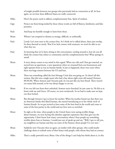|        | of insight possible between two groups who previously had no connection at all. So here<br>again, we see how these different biases are really connected.                                                                                                                                                                                                                                                                                                           |
|--------|---------------------------------------------------------------------------------------------------------------------------------------------------------------------------------------------------------------------------------------------------------------------------------------------------------------------------------------------------------------------------------------------------------------------------------------------------------------------|
| Mike:  | Here's the prayer used to address complementarity bias. Spirit of wisdom.                                                                                                                                                                                                                                                                                                                                                                                           |
| Gigi:  | Protect me from being misled by those whose words are full of flattery, familiarity, and false<br>promises.                                                                                                                                                                                                                                                                                                                                                         |
| Paul:  | And keep me humble enough to learn from those.                                                                                                                                                                                                                                                                                                                                                                                                                      |
| Brian: | Whom I am tempted to dismiss as strange, difficult, or unfriendly.                                                                                                                                                                                                                                                                                                                                                                                                  |
| Paul:  | Lovely. Let's now turn to the contact bias. As I think we've talked about, these just overlap.<br>So these dovetail so nicely. That if we lack contact with someone, we won't be able to see<br>what they see.                                                                                                                                                                                                                                                      |
| Paul:  | So knowing that we've been sitting in this conversation, circling around it, how do you all<br>think the contact bias relates to community and the complementarity bias? What springs to<br>mind?                                                                                                                                                                                                                                                                   |
| Brian: | A story always comes to my mind in this regard. When my wife and I first got married, we<br>moved into an apartment, a new apartment when we returned from our honeymoon and<br>right upstairs from us was an Iranian family. It just so happened, those were years where<br>there was huge tension between the US and Iran.                                                                                                                                        |
| Brian: | There was something called the Iran Hostage Crisis that was going on. So there's all this<br>tension. But this was a single mom who had a boy about eight years old named [Armeen<br>00:30:30]. When Armeen and I became pals, he was just like my best friend. There weren't<br>too many kids around, so he was always happy to see me.                                                                                                                            |
| Brian: | If we ever left our front door unlocked, Armeen never knocked, he just came in. He felt so at<br>home with me and Grace. Of course, we were newlyweds. So we had to make sure we kept<br>our door locked.                                                                                                                                                                                                                                                           |
| Brian: | But through Armeen I got to know his mother. When his mother found out that there was<br>an American family that liked Iranians, she started introducing us to her whole circle of<br>Iranian friends. So we got invited to have some of the best food in the world and come to<br>some of the best parties in the world and our lives were so enriched.                                                                                                            |
| Brian: | So right at the time, when people in the United States were saying terrible things<br>about Iranians, we were having this absolute opposite experience that then gave me the<br>opportunity. I don't know how many conversations where I hear people say something<br>terrible about Iran or Iranians. I would just sort of speak up and say, "Well, I got to tell you,<br>my neighbors are Iranian and they are some of the funnest, finest people I've ever met." |
| Brian: | Suddenly now I became then an agent, an insider with other groups, who could maybe<br>challenge them to rethink some of their biases with people, with whom they had no contact.                                                                                                                                                                                                                                                                                    |
| Mike:  | That's a really powerful story, Brian. One of the things I can't help but think about is, in this                                                                                                                                                                                                                                                                                                                                                                   |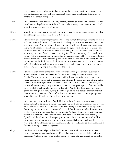exact moment in time where we find ourselves on the calendar, how in some ways, contact bias has become even more difficult. Because obviously in an era of social distancing, it's hard to make contact with people.

- Mike: Also, a lot of the times that we're making contact, it's through a screen in a machine. Where there's a technology between us. I think there's a dehumanizing component to that. I don't know if anyone else resonates with that.
- Brian: Yeah. It just is a reminder to us that in a time of pandemic, we have to go the second mile to break through that contact bias in ways that we can.
- Brian: I think this is one of the things that the arts do. The example that always comes to my mind is there's a wonderful novel by Chaim Potok called My Name Is Asher Lev. He wrote many great novels, and it's a story about a hyper Orthodox Jewish boy with extraordinary artistic talent. And I remember when I read that book, I thought, "I'm learning more about what it's like to be raised in a hyper Orthodox Jewish family in New York than I ever could have known any other way." And I remember feeling like, "For the rest of my life, I now have a window." And of course it's not ... I don't know everything about all hyper Orthodox Jewish people, but at least I know something. And I have a feel for one boy, in one family, in one community. And I think the arts do this for us at times when physical and personal contact isn't easiest all the more, if the art that we take in is actually created by someone from that community who is giving us a window into their soul too.
- Brian: I think contact bias makes me think of an encounter in the gospels when Jesus meets a Syrophoenician woman. It's one of the few times we actually see Jesus interacting with a Gentile. There are a few others. He interacts with a Roman centurion, and he interacts with a Samaritan woman. But what's really interesting in the gospel accounts of Jesus in his interaction with this Syrophoenician woman, he doesn't just teach her; we, in a sense, see her teach him something. He goes into the encounter not expecting much from her, and he comes out being really, really impressed by her faith. And I think that's just ... Maybe the gospel writers kept that story in, they didn't let it get edited out, because they realized that Jesus was setting an example for all of us that when we have contact across in-group-outgroup difference, it's a chance for us all to learn something.
- Gigi: I was thinking one of the least ... And I think it's still true in many African-American communities, but definitely in the one that I grew up in, it was very important that everyone get an education. Because that was seen as a way of having a better life than your parents. And so my parents, they never censored what I read. And I remember when I was in fourth grade, I got my own room and I got my own radio. And even though in my neighborhood, they were supposedly ... the kids were only listening to three different radio stations, I figured I had the whole radio. I was going to listen to all the radio stations. And so I had these ways, these windows, into other ways of seeing, and being, other cultures that I really, really enjoyed. And that carried through into my adult life, and it carried through into just a fascination with just religions in general.
- Gigi: But there were certain religions that didn't make that cut. And I remember I went with my then partner, we went, curiously but kind of hesitantly, to our first solstice celebration. Because ... You know? These were witches, right? So we use fake names. And we wanted to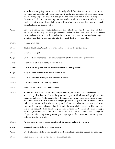know how it was going, but we were really, really afraid. And of course we went, they were very nice, and we had a really good time. But it was having to, first of all, make the decision that we were going to do that, even though we had some hesitation. But still making that decision to do that, that's something that I remember. And it made me just understand back to all the confirmation bias, and all the other biases, is that the stories that I was told actually have absolutely no truth in reality.

- Gigi: But even if I might know that intellectually, they still influence how I behave and just that lens on the world. They make that pinhole even smaller just because of, even if I don't believe them intellectually, they're still embodied in me in some way. And so having that courage, even knowing that I'm still afraid to take that step, I think is very powerful.
- Brian: What a great story.
- Paul: That is. Thank you, Gigi. So let's bring in the prayer for the contact bias:
- Paul: Revealer of insight...
- Gigi: Do not let me be satisfied to see only what is visible from my limited perspective.
- Mike: Grant me insatiable curiosity to understand-
- Brian: ... What my neighbors can see from their different vantage points.
- Gigi: Help me draw near to them, to walk with them-
- Mike: ... To see through their eyes, hear through their ears-
- Brian: ... And to feel through their experience,
- Paul: so our shared horizons will be broadened.
- Brian: So here are three biases, community complementarity, and contact, that challenge us to acknowledge that there is a flow to the groups we're part of. We cluster with people who like us and think like us. And if people think differently, we pressure them to conform to us or we squeeze them out. That means that our groups become ingrown and un-diverse, and we lack contact with outsiders who see things we don't see. And when we meet people who are from outside our group, because they don't look like us or talk like us or pray like us or vote like us, we disqualify them from having anything to teach us. We then find ourselves trapped within a great wall of social bias. And if we want to break out, it's going to take courage and it's going to take strength and guts and grace to go against the flow of our community, and to follow the flow of truth.
- Brian: And so we invite you to repeat each line of this prayer, making it your own:
- Mike: Source of wonder, help us see with wonder.
- Gigi: Depth of mystery, help us find delight in truth so profound that they surpass all knowing.
- Paul: Fountain of compassion, help us see with compassion.